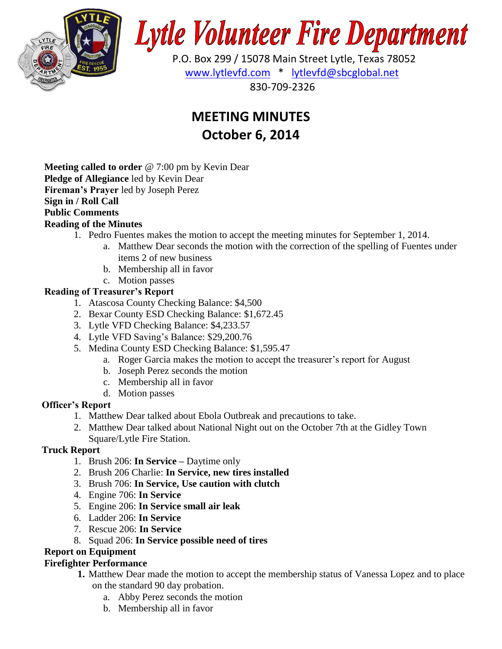

# **Lytle Volunteer Fire Department**

 P.O. Box 299 / 15078 Main Street Lytle, Texas 78052 [www.lytlevfd.com](http://www.lytlevfd.com/) \* [lytlevfd@sbcglobal.net](mailto:lytlevfd@sbcglobal.net) 830-709-2326

## **MEETING MINUTES October 6, 2014**

**Meeting called to order** @ 7:00 pm by Kevin Dear **Pledge of Allegiance** led by Kevin Dear **Fireman's Prayer** led by Joseph Perez **Sign in / Roll Call Public Comments**

### **Reading of the Minutes**

- 1. Pedro Fuentes makes the motion to accept the meeting minutes for September 1, 2014.
	- a. Matthew Dear seconds the motion with the correction of the spelling of Fuentes under items 2 of new business
	- b. Membership all in favor
	- c. Motion passes

#### **Reading of Treasurer's Report**

- 1. Atascosa County Checking Balance: \$4,500
- 2. Bexar County ESD Checking Balance: \$1,672.45
- 3. Lytle VFD Checking Balance: \$4,233.57
- 4. Lytle VFD Saving's Balance: \$29,200.76
- 5. Medina County ESD Checking Balance: \$1,595.47
	- a. Roger Garcia makes the motion to accept the treasurer's report for August
	- b. Joseph Perez seconds the motion
	- c. Membership all in favor
	- d. Motion passes

#### **Officer's Report**

- 1. Matthew Dear talked about Ebola Outbreak and precautions to take.
- 2. Matthew Dear talked about National Night out on the October 7th at the Gidley Town Square/Lytle Fire Station.

#### **Truck Report**

- 1. Brush 206: **In Service –** Daytime only
- 2. Brush 206 Charlie: **In Service, new tires installed**
- 3. Brush 706: **In Service, Use caution with clutch**
- 4. Engine 706: **In Service**
- 5. Engine 206: **In Service small air leak**
- 6. Ladder 206: **In Service**
- 7. Rescue 206: **In Service**
- 8. Squad 206: **In Service possible need of tires**

#### **Report on Equipment**

#### **Firefighter Performance**

- **1.** Matthew Dear made the motion to accept the membership status of Vanessa Lopez and to place on the standard 90 day probation.
	- a. Abby Perez seconds the motion
	- b. Membership all in favor